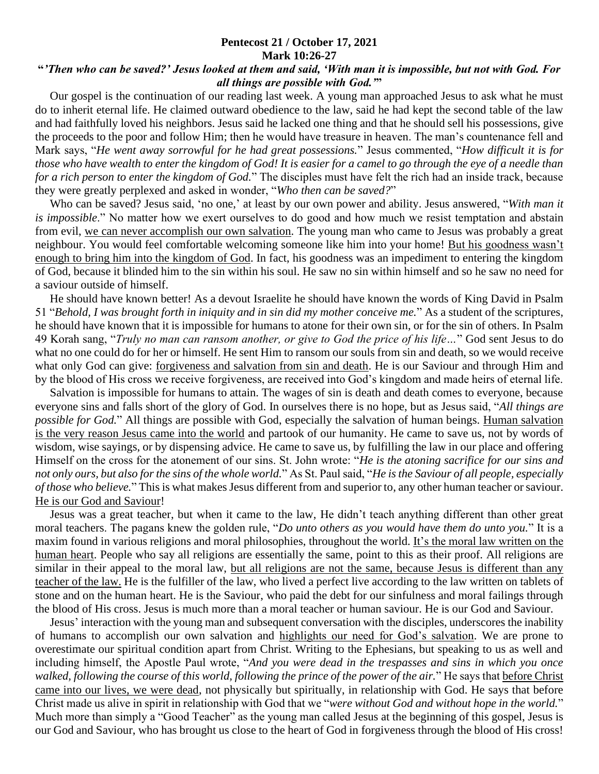## **Pentecost 21 / October 17, 2021 Mark 10:26-27**

## **"***'Then who can be saved?' Jesus looked at them and said, 'With man it is impossible, but not with God. For all things are possible with God.'***"**

 Our gospel is the continuation of our reading last week. A young man approached Jesus to ask what he must do to inherit eternal life. He claimed outward obedience to the law, said he had kept the second table of the law and had faithfully loved his neighbors. Jesus said he lacked one thing and that he should sell his possessions, give the proceeds to the poor and follow Him; then he would have treasure in heaven. The man's countenance fell and Mark says, "*He went away sorrowful for he had great possessions.*" Jesus commented, "*How difficult it is for those who have wealth to enter the kingdom of God! It is easier for a camel to go through the eye of a needle than for a rich person to enter the kingdom of God.*" The disciples must have felt the rich had an inside track, because they were greatly perplexed and asked in wonder, "*Who then can be saved?*"

 Who can be saved? Jesus said, 'no one,' at least by our own power and ability. Jesus answered, "*With man it is impossible*." No matter how we exert ourselves to do good and how much we resist temptation and abstain from evil, we can never accomplish our own salvation. The young man who came to Jesus was probably a great neighbour. You would feel comfortable welcoming someone like him into your home! But his goodness wasn't enough to bring him into the kingdom of God. In fact, his goodness was an impediment to entering the kingdom of God, because it blinded him to the sin within his soul. He saw no sin within himself and so he saw no need for a saviour outside of himself.

 He should have known better! As a devout Israelite he should have known the words of King David in Psalm 51 "*Behold, I was brought forth in iniquity and in sin did my mother conceive me.*" As a student of the scriptures, he should have known that it is impossible for humans to atone for their own sin, or for the sin of others. In Psalm 49 Korah sang, "*Truly no man can ransom another, or give to God the price of his life…*" God sent Jesus to do what no one could do for her or himself. He sent Him to ransom our souls from sin and death, so we would receive what only God can give: forgiveness and salvation from sin and death. He is our Saviour and through Him and by the blood of His cross we receive forgiveness, are received into God's kingdom and made heirs of eternal life.

 Salvation is impossible for humans to attain. The wages of sin is death and death comes to everyone, because everyone sins and falls short of the glory of God. In ourselves there is no hope, but as Jesus said, "*All things are possible for God.*" All things are possible with God, especially the salvation of human beings. Human salvation is the very reason Jesus came into the world and partook of our humanity. He came to save us, not by words of wisdom, wise sayings, or by dispensing advice. He came to save us, by fulfilling the law in our place and offering Himself on the cross for the atonement of our sins. St. John wrote: "*He is the atoning sacrifice for our sins and not only ours, but also for the sins of the whole world.*" As St. Paul said, "*He is the Saviour of all people, especially of those who believe.*" This is what makes Jesus different from and superior to, any other human teacher or saviour. He is our God and Saviour!

 Jesus was a great teacher, but when it came to the law, He didn't teach anything different than other great moral teachers. The pagans knew the golden rule, "*Do unto others as you would have them do unto you.*" It is a maxim found in various religions and moral philosophies, throughout the world. It's the moral law written on the human heart. People who say all religions are essentially the same, point to this as their proof. All religions are similar in their appeal to the moral law, but all religions are not the same, because Jesus is different than any teacher of the law. He is the fulfiller of the law, who lived a perfect live according to the law written on tablets of stone and on the human heart. He is the Saviour, who paid the debt for our sinfulness and moral failings through the blood of His cross. Jesus is much more than a moral teacher or human saviour. He is our God and Saviour.

 Jesus' interaction with the young man and subsequent conversation with the disciples, underscores the inability of humans to accomplish our own salvation and highlights our need for God's salvation. We are prone to overestimate our spiritual condition apart from Christ. Writing to the Ephesians, but speaking to us as well and including himself, the Apostle Paul wrote, "*And you were dead in the trespasses and sins in which you once walked, following the course of this world, following the prince of the power of the air.*" He says that before Christ came into our lives, we were dead, not physically but spiritually, in relationship with God. He says that before Christ made us alive in spirit in relationship with God that we "*were without God and without hope in the world.*" Much more than simply a "Good Teacher" as the young man called Jesus at the beginning of this gospel, Jesus is our God and Saviour, who has brought us close to the heart of God in forgiveness through the blood of His cross!